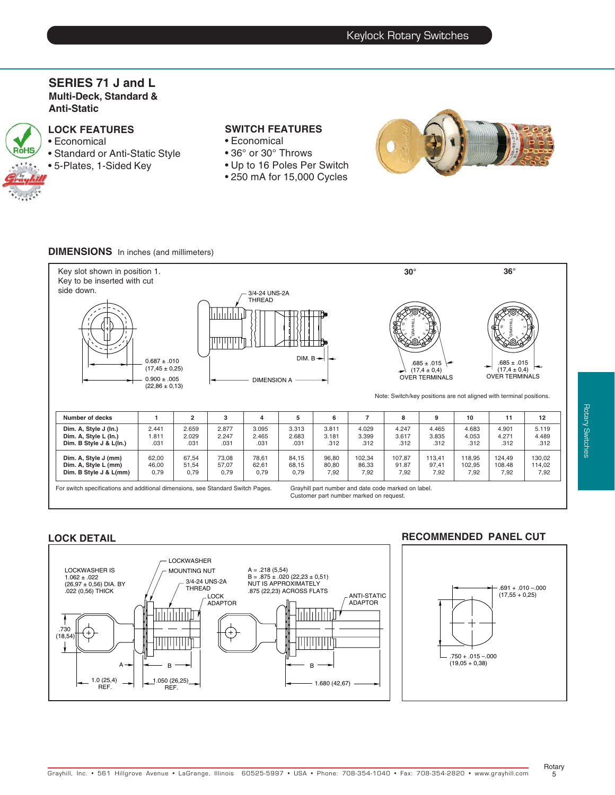### **SERIES 71 J and L Multi-Deck, Standard & Anti-Static**

**LOCK FEATURES** • Economical RóHS • Standard or Anti-Static Style • 5-Plates, 1-Sided Key

## **SWITCH FEATURES**

- Economical
- 36° or 30° Throws
- Up to 16 Poles Per Switch
- 250 mA for 15,000 Cycles



### **DIMENSIONS** In inches (and millimeters)



#### **LOCK DETAIL**



### **RECOMMENDED PANEL CUT**



Rotary  $5^{\circ}$